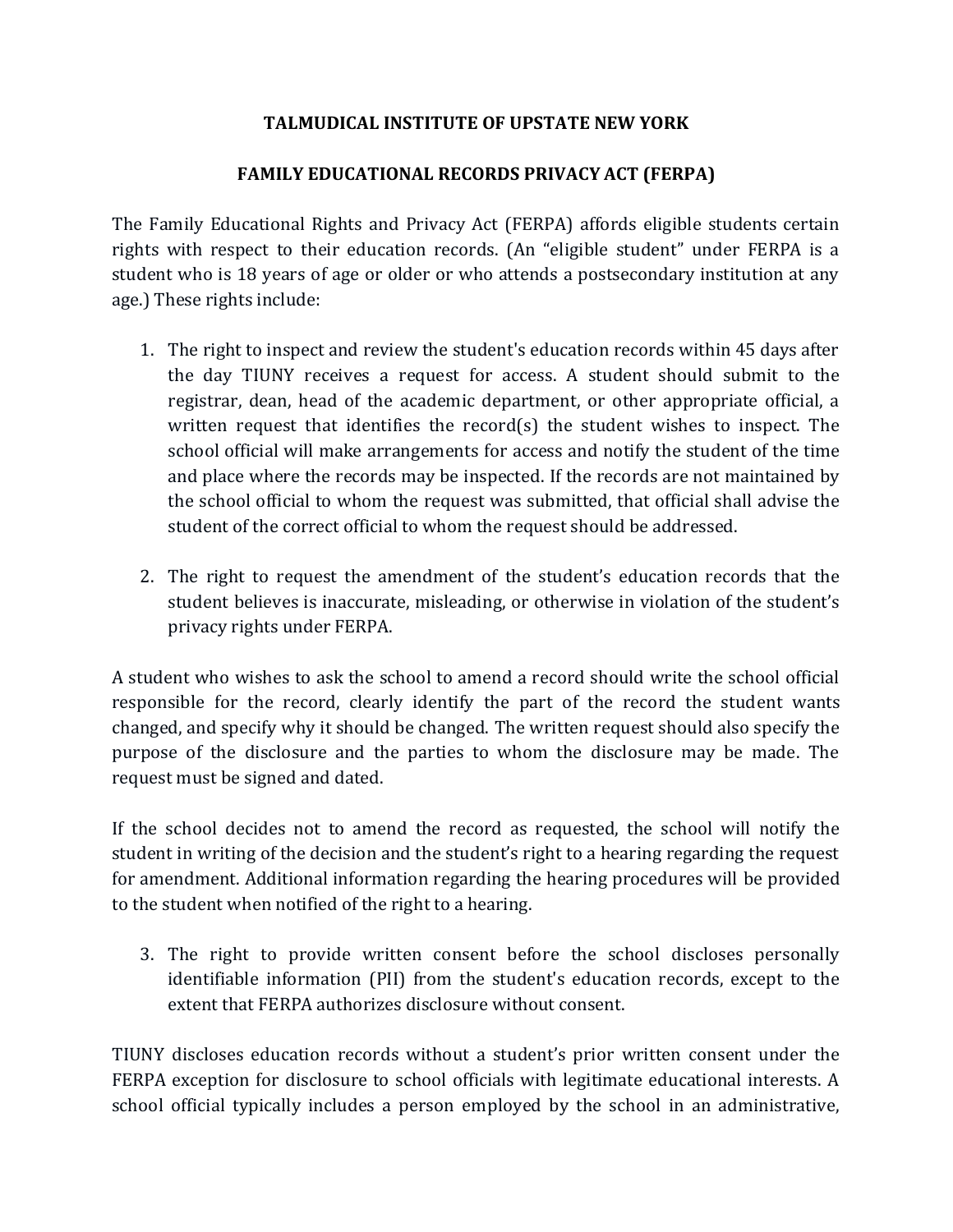## **TALMUDICAL INSTITUTE OF UPSTATE NEW YORK**

## **FAMILY EDUCATIONAL RECORDS PRIVACY ACT (FERPA)**

The Family Educational Rights and Privacy Act (FERPA) affords eligible students certain rights with respect to their education records. (An "eligible student" under FERPA is a student who is 18 years of age or older or who attends a postsecondary institution at any age.) These rights include:

- 1. The right to inspect and review the student's education records within 45 days after the day TIUNY receives a request for access. A student should submit to the registrar, dean, head of the academic department, or other appropriate official, a written request that identifies the record(s) the student wishes to inspect. The school official will make arrangements for access and notify the student of the time and place where the records may be inspected. If the records are not maintained by the school official to whom the request was submitted, that official shall advise the student of the correct official to whom the request should be addressed.
- 2. The right to request the amendment of the student's education records that the student believes is inaccurate, misleading, or otherwise in violation of the student's privacy rights under FERPA.

A student who wishes to ask the school to amend a record should write the school official responsible for the record, clearly identify the part of the record the student wants changed, and specify why it should be changed. The written request should also specify the purpose of the disclosure and the parties to whom the disclosure may be made. The request must be signed and dated.

If the school decides not to amend the record as requested, the school will notify the student in writing of the decision and the student's right to a hearing regarding the request for amendment. Additional information regarding the hearing procedures will be provided to the student when notified of the right to a hearing.

3. The right to provide written consent before the school discloses personally identifiable information (PII) from the student's education records, except to the extent that FERPA authorizes disclosure without consent.

TIUNY discloses education records without a student's prior written consent under the FERPA exception for disclosure to school officials with legitimate educational interests. A school official typically includes a person employed by the school in an administrative,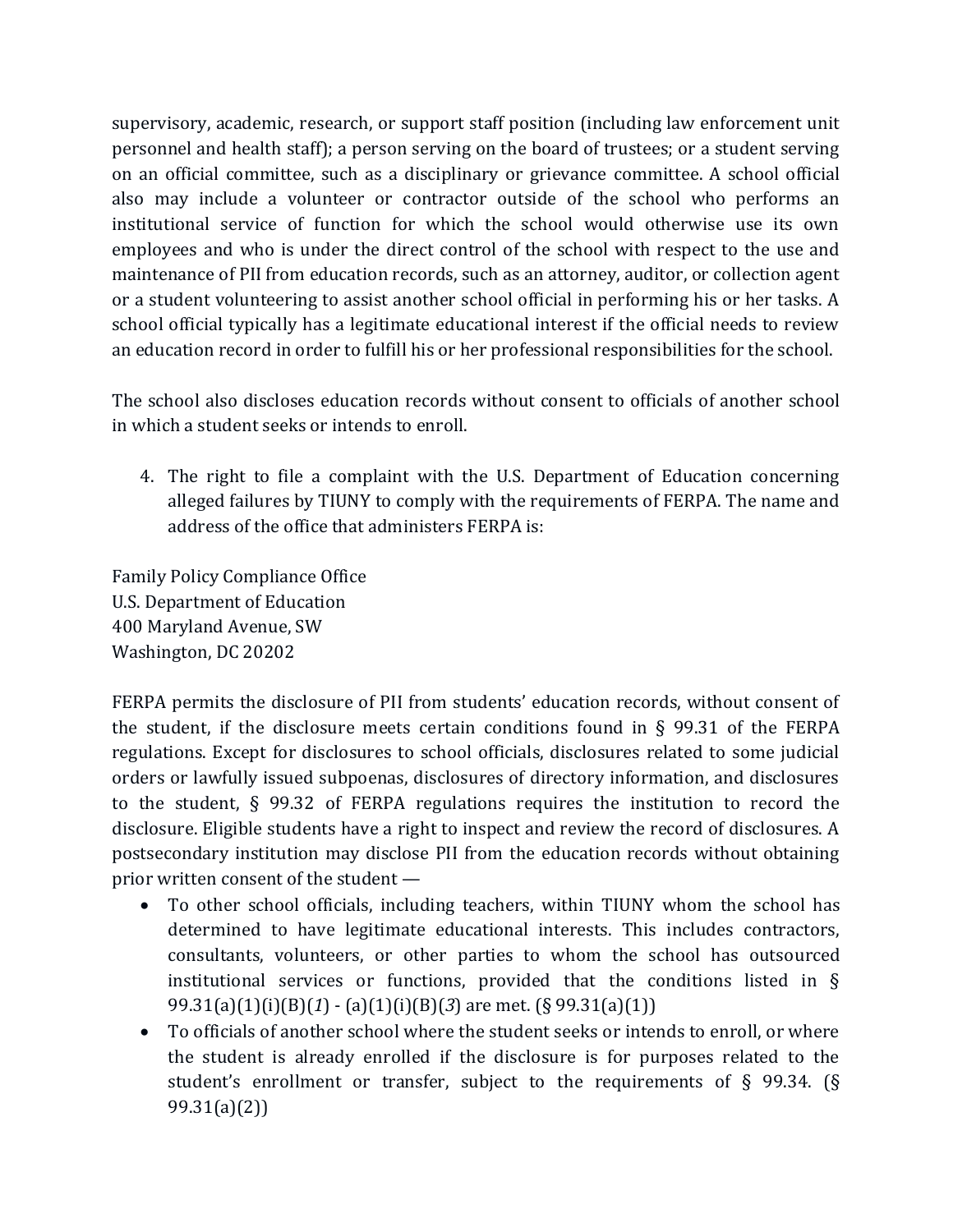supervisory, academic, research, or support staff position (including law enforcement unit personnel and health staff); a person serving on the board of trustees; or a student serving on an official committee, such as a disciplinary or grievance committee. A school official also may include a volunteer or contractor outside of the school who performs an institutional service of function for which the school would otherwise use its own employees and who is under the direct control of the school with respect to the use and maintenance of PII from education records, such as an attorney, auditor, or collection agent or a student volunteering to assist another school official in performing his or her tasks. A school official typically has a legitimate educational interest if the official needs to review an education record in order to fulfill his or her professional responsibilities for the school.

The school also discloses education records without consent to officials of another school in which a student seeks or intends to enroll.

4. The right to file a complaint with the U.S. Department of Education concerning alleged failures by TIUNY to comply with the requirements of FERPA. The name and address of the office that administers FERPA is:

Family Policy Compliance Office U.S. Department of Education 400 Maryland Avenue, SW Washington, DC 20202

FERPA permits the disclosure of PII from students' education records, without consent of the student, if the disclosure meets certain conditions found in § 99.31 of the FERPA regulations. Except for disclosures to school officials, disclosures related to some judicial orders or lawfully issued subpoenas, disclosures of directory information, and disclosures to the student, § 99.32 of FERPA regulations requires the institution to record the disclosure. Eligible students have a right to inspect and review the record of disclosures. A postsecondary institution may disclose PII from the education records without obtaining prior written consent of the student —

- To other school officials, including teachers, within TIUNY whom the school has determined to have legitimate educational interests. This includes contractors, consultants, volunteers, or other parties to whom the school has outsourced institutional services or functions, provided that the conditions listed in § 99.31(a)(1)(i)(B)(*1*) - (a)(1)(i)(B)(*3*) are met. (§ 99.31(a)(1))
- To officials of another school where the student seeks or intends to enroll, or where the student is already enrolled if the disclosure is for purposes related to the student's enrollment or transfer, subject to the requirements of  $\S$  99.34. ( $\S$ 99.31(a)(2))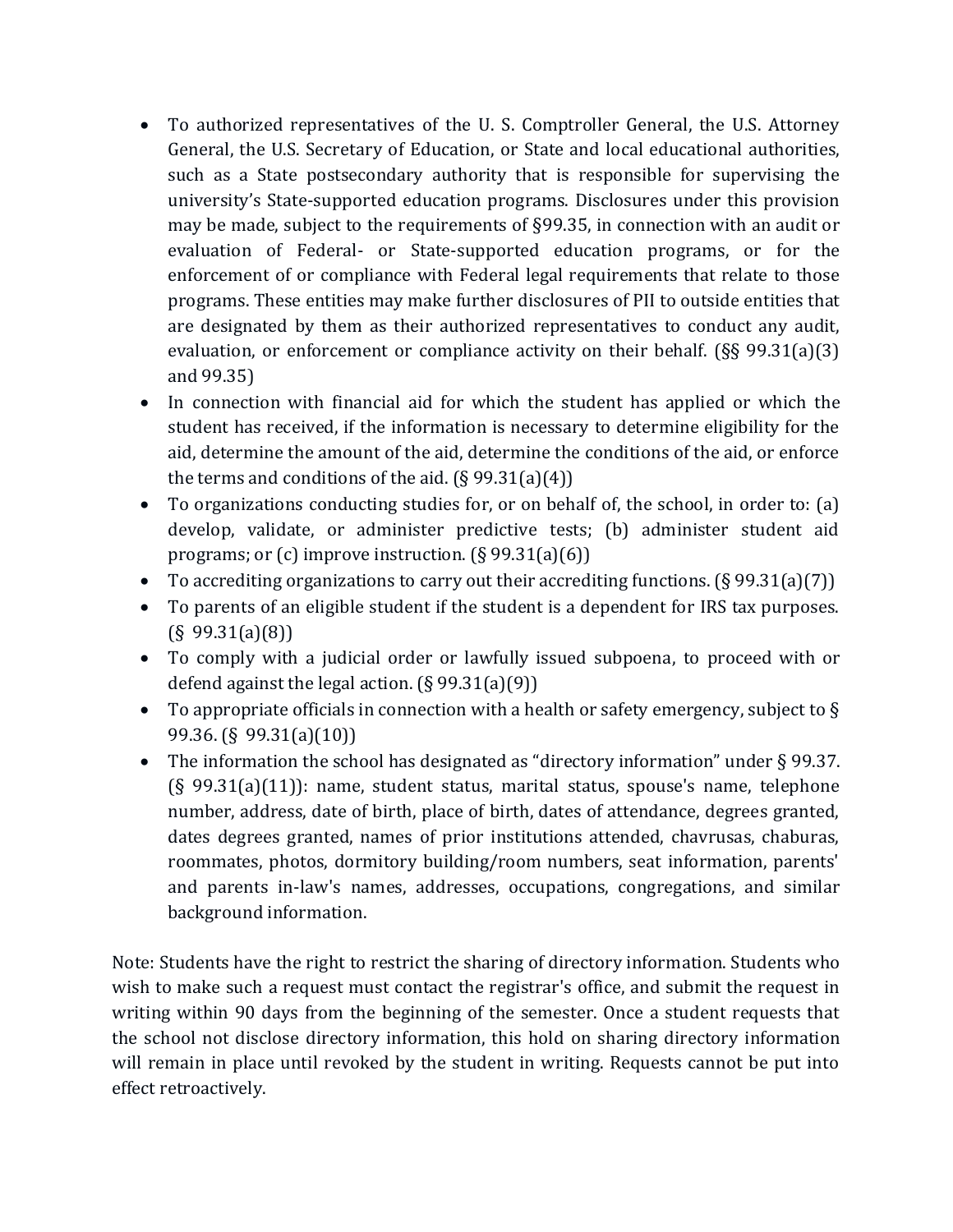- To authorized representatives of the U. S. Comptroller General, the U.S. Attorney General, the U.S. Secretary of Education, or State and local educational authorities, such as a State postsecondary authority that is responsible for supervising the university's State-supported education programs. Disclosures under this provision may be made, subject to the requirements of §99.35, in connection with an audit or evaluation of Federal- or State-supported education programs, or for the enforcement of or compliance with Federal legal requirements that relate to those programs. These entities may make further disclosures of PII to outside entities that are designated by them as their authorized representatives to conduct any audit, evaluation, or enforcement or compliance activity on their behalf. (§§ 99.31(a)(3) and 99.35)
- In connection with financial aid for which the student has applied or which the student has received, if the information is necessary to determine eligibility for the aid, determine the amount of the aid, determine the conditions of the aid, or enforce the terms and conditions of the aid.  $(\S 99.31(a)(4))$
- To organizations conducting studies for, or on behalf of, the school, in order to: (a) develop, validate, or administer predictive tests; (b) administer student aid programs; or (c) improve instruction. (§ 99.31(a)(6))
- To accrediting organizations to carry out their accrediting functions.  $(\S 99.31(a)(7))$
- To parents of an eligible student if the student is a dependent for IRS tax purposes.  $(S\ 99.31(a)(8))$
- To comply with a judicial order or lawfully issued subpoena, to proceed with or defend against the legal action. (§ 99.31(a)(9))
- To appropriate officials in connection with a health or safety emergency, subject to § 99.36. (§ 99.31(a)(10))
- The information the school has designated as "directory information" under § 99.37. (§ 99.31(a)(11)): name, student status, marital status, spouse's name, telephone number, address, date of birth, place of birth, dates of attendance, degrees granted, dates degrees granted, names of prior institutions attended, chavrusas, chaburas, roommates, photos, dormitory building/room numbers, seat information, parents' and parents in-law's names, addresses, occupations, congregations, and similar background information.

Note: Students have the right to restrict the sharing of directory information. Students who wish to make such a request must contact the registrar's office, and submit the request in writing within 90 days from the beginning of the semester. Once a student requests that the school not disclose directory information, this hold on sharing directory information will remain in place until revoked by the student in writing. Requests cannot be put into effect retroactively.